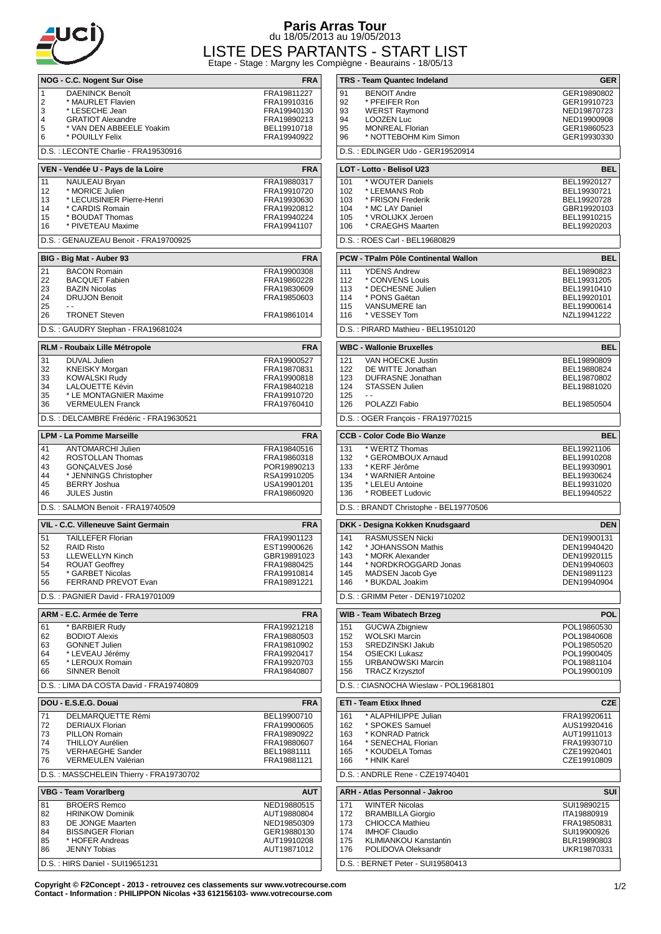

## **Paris Arras Tour** du 18/05/2013 au 19/05/2013

LISTE DES PARTANTS - START LIST Etape - Stage : Margny les Compiègne - Beaurains - 18/05/13

|                                                   | NOG - C.C. Nogent Sur Oise                                      | <b>FRA</b>                              |  |
|---------------------------------------------------|-----------------------------------------------------------------|-----------------------------------------|--|
| 1                                                 | <b>DAENINCK Benoît</b>                                          | FRA19811227                             |  |
| 2                                                 | * MAURLET Flavien                                               | FRA19910316                             |  |
| 3<br>4                                            | * LESECHE Jean<br><b>GRATIOT Alexandre</b>                      | FRA19940130<br>FRA19890213              |  |
| 5                                                 | * VAN DEN ABBEELE Yoakim                                        | BEL19910718                             |  |
| 6                                                 | * POUILLY Felix                                                 | FRA19940922                             |  |
|                                                   | D.S.: LECONTE Charlie - FRA19530916                             |                                         |  |
|                                                   | VEN - Vendée U - Pays de la Loire                               | <b>FRA</b>                              |  |
| 11                                                | NAULEAU Bryan                                                   | FRA19880317                             |  |
| 12                                                | * MORICE Julien                                                 | FRA19910720                             |  |
| 13<br>14                                          | * LECUISINIER Pierre-Henri<br>* CARDIS Romain                   | FRA19930630<br>FRA19920812              |  |
| 15                                                | * BOUDAT Thomas                                                 | FRA19940224                             |  |
| 16                                                | * PIVETEAU Maxime                                               | FRA19941107                             |  |
|                                                   | D.S.: GENAUZEAU Benoit - FRA19700925                            |                                         |  |
| BIG - Big Mat - Auber 93<br><b>FRA</b>            |                                                                 |                                         |  |
| 21                                                | <b>BACON Romain</b>                                             | FRA19900308                             |  |
| 22<br>23                                          | <b>BACQUET Fabien</b><br><b>BAZIN Nicolas</b>                   | FRA19860228<br>FRA19830609              |  |
| 24                                                | <b>DRUJON Benoit</b>                                            | FRA19850603                             |  |
| 25<br>26                                          | $\overline{a}$<br><b>TRONET Steven</b>                          | FRA19861014                             |  |
|                                                   | D.S.: GAUDRY Stephan - FRA19681024                              |                                         |  |
|                                                   |                                                                 |                                         |  |
| 31                                                | RLM - Roubaix Lille Métropole<br>DUVAL Julien                   | <b>FRA</b><br>FRA19900527               |  |
| 32                                                | <b>KNEISKY Morgan</b>                                           | FRA19870831                             |  |
| 33                                                | <b>KOWALSKI Rudy</b>                                            | FRA19900818                             |  |
| 34<br>35                                          | LALOUETTE Kévin<br>* LE MONTAGNIER Maxime                       | FRA19840218<br>FRA19910720              |  |
| 36                                                | <b>VERMEULEN Franck</b>                                         | FRA19760410                             |  |
|                                                   | D.S. : DELCAMBRE Frédéric - FRA19630521                         |                                         |  |
|                                                   | <b>LPM - La Pomme Marseille</b>                                 | <b>FRA</b>                              |  |
| 41                                                | ANTOMARCHI Julien                                               | FRA19840516                             |  |
| 42                                                | ROSTOLLAN Thomas                                                | FRA19860318                             |  |
| 43<br>44                                          | <b>GONÇALVES José</b><br>* JENNINGS Christopher                 | POR19890213<br>RSA19910205              |  |
| 45                                                | <b>BERRY Joshua</b>                                             | USA19901201                             |  |
| 46                                                | <b>JULES Justin</b>                                             | FRA19860920                             |  |
|                                                   | D.S.: SALMON Benoit - FRA19740509                               |                                         |  |
| VIL - C.C. Villeneuve Saint Germain<br><b>FRA</b> |                                                                 |                                         |  |
| 51                                                | <b>TAILLEFER Florian</b>                                        | FRA19901123                             |  |
| 52<br>53                                          | <b>RAID Risto</b><br><b>LLEWELLYN Kinch</b>                     | EST19900626<br>GBR19891023              |  |
| 54                                                | <b>ROUAT Geoffrey</b>                                           |                                         |  |
|                                                   |                                                                 |                                         |  |
| 55                                                | * GARBET Nicolas                                                | FRA19880425<br>FRA19910814              |  |
| 56                                                | <b>FERRAND PREVOT Evan</b>                                      | FRA19891221                             |  |
|                                                   | D.S.: PAGNIER David - FRA19701009                               |                                         |  |
|                                                   | ARM - E.C. Armée de Terre                                       |                                         |  |
| 61                                                | * BARBIER Rudy                                                  | FRA19921218                             |  |
| 62<br>63                                          | <b>BODIOT Alexis</b><br><b>GONNET Julien</b>                    | FRA19880503<br>FRA19810902              |  |
| 64                                                | * LEVEAU Jérémv                                                 | FRA19920417                             |  |
| 65                                                | * LEROUX Romain                                                 | FRA19920703                             |  |
| 66                                                | <b>SINNER Benoît</b><br>D.S.: LIMA DA COSTA David - FRA19740809 | FRA19840807                             |  |
|                                                   |                                                                 |                                         |  |
| 71                                                | DOU - E.S.E.G. Douai                                            | <b>FRA</b>                              |  |
| 72                                                | DELMARQUETTE Rémi<br>DERIAUX Florian                            | BEL19900710<br>FRA19900605              |  |
| 73                                                | <b>PILLON Romain</b>                                            | FRA19890922                             |  |
| 74<br>75                                          | THILLOY Aurélien<br><b>VERHAEGHE Sander</b>                     | FRA19880607<br>BEL19881111              |  |
| 76                                                | VERMEULEN Valérian                                              | FRA19881121                             |  |
|                                                   | D.S.: MASSCHELEIN Thierry - FRA19730702                         |                                         |  |
|                                                   | <b>VBG - Team Vorarlberg</b>                                    |                                         |  |
| 81                                                | <b>BROERS Remco</b>                                             | NED19880515                             |  |
| 82                                                | <b>HRINKOW Dominik</b>                                          | <b>FRA</b><br><b>AUT</b><br>AUT19880804 |  |
| 83<br>84                                          | DE JONGE Maarten<br><b>BISSINGER Florian</b>                    | NED19850309<br>GER19880130              |  |
| 85                                                | * HOFER Andreas                                                 | AUT19910208                             |  |
| 86                                                | <b>JENNY Tobias</b><br>D.S.: HIRS Daniel - SUI19651231          | AUT19871012                             |  |

| iègne - Beaurains - 18/05/13  |                                                    |                            |  |  |
|-------------------------------|----------------------------------------------------|----------------------------|--|--|
|                               | TRS - Team Quantec Indeland                        | GER                        |  |  |
| 91                            | <b>BENOIT Andre</b>                                | GER19890802                |  |  |
| 92                            | * PFEIFER Ron                                      | GER19910723                |  |  |
| 93<br>94                      | <b>WERST Raymond</b><br><b>LOOZEN Luc</b>          | NED19870723<br>NED19900908 |  |  |
| 95                            | <b>MONREAL Florian</b>                             | GER19860523                |  |  |
| 96                            | * NOTTEBOHM Kim Simon                              | GER19930330                |  |  |
|                               | D.S.: EDLINGER Udo - GER19520914                   |                            |  |  |
|                               | LOT - Lotto - Belisol U23                          | <b>BEL</b>                 |  |  |
| 101                           | * WOUTER Daniels                                   | BEL19920127                |  |  |
| 102                           | * LEEMANS Rob                                      | BEL19930721                |  |  |
| 103                           | * FRISON Frederik<br>* MC LAY Daniel               | BEL19920728                |  |  |
| 104<br>105                    | * VROLIJKX Jeroen                                  | GBR19920103<br>BEL19910215 |  |  |
| 106                           | * CRAEGHS Maarten                                  | BEL19920203                |  |  |
| D.S.: ROES Carl - BEL19680829 |                                                    |                            |  |  |
|                               | PCW - TPalm Pôle Continental Wallon                | BEL                        |  |  |
| 111                           | <b>YDENS Andrew</b>                                | BEL19890823                |  |  |
| 112                           | * CONVENS Louis                                    | BEL19931205                |  |  |
| 113<br>114                    | * DECHESNE Julien<br>* PONS Gaëtan                 | BEL19910410<br>BEL19920101 |  |  |
| 115                           | VANSUMERE lan                                      | BEL19900614                |  |  |
| 116                           | * VESSEY Tom                                       | NZL19941222                |  |  |
|                               | D.S.: PIRARD Mathieu - BEL19510120                 |                            |  |  |
|                               | <b>WBC - Wallonie Bruxelles</b>                    | <b>BEL</b>                 |  |  |
| 121                           | VAN HOECKE Justin                                  | BEL19890809                |  |  |
| 122                           | DE WITTE Jonathan                                  | BEL19880824                |  |  |
| 123<br>124                    | <b>DUFRASNE</b> Jonathan<br><b>STASSEN Julien</b>  | BEL19870802<br>BEL19881020 |  |  |
| 125                           |                                                    |                            |  |  |
| 126                           | POLAZZI Fabio                                      | BEL19850504                |  |  |
|                               | D.S.: OGER François - FRA19770215                  |                            |  |  |
|                               | <b>CCB - Color Code Bio Wanze</b>                  | <b>BEL</b>                 |  |  |
| 131                           | * WERTZ Thomas                                     | BEL19921106                |  |  |
| 132<br>133                    | * GEROMBOUX Arnaud<br>* KERF Jérôme                | BEL19910208<br>BEL19930901 |  |  |
| 134                           | * WARNIER Antoine                                  | BEL19930624                |  |  |
| 135                           | * LELEU Antoine                                    | BEL19931020                |  |  |
| 136                           | * ROBEET Ludovic                                   | BEL19940522                |  |  |
|                               | D.S.: BRANDT Christophe - BEL19770506              |                            |  |  |
|                               | DKK - Designa Kokken Knudsgaard                    | <b>DEN</b>                 |  |  |
| 141                           | RASMUSSEN Nicki                                    | DEN19900131                |  |  |
| 142<br>143                    | * JOHANSSON Mathis                                 | DEN19940420<br>DEN19920115 |  |  |
| 144                           | * MORK Alexander<br>* NORDKROGGARD Jonas           | DEN19940603                |  |  |
| 145                           | <b>MADSEN Jacob Gye</b>                            | DEN19891123                |  |  |
| 146                           | * BUKDAL Joakim                                    | DEN19940904                |  |  |
|                               | D.S.: GRIMM Peter - DEN19710202                    |                            |  |  |
|                               | WIB - Team Wibatech Brzeg                          | <b>POL</b>                 |  |  |
| 151                           | <b>GUCWA Zbigniew</b>                              | POL19860530                |  |  |
| 152<br>153                    | <b>WOLSKI Marcin</b><br><b>SREDZINSKI Jakub</b>    | POL19840608<br>POL19850520 |  |  |
| 154                           | <b>OSIECKI Lukasz</b>                              | POL19900405                |  |  |
| 155                           | <b>URBANOWSKI Marcin</b>                           | POL19881104                |  |  |
| 156                           | <b>TRACZ Krzysztof</b>                             | POL19900109                |  |  |
|                               | D.S.: CIASNOCHA Wieslaw - POL19681801              |                            |  |  |
|                               | <b>ETI - Team Etixx Ihned</b>                      | <b>CZE</b>                 |  |  |
| 161<br>162                    | * ALAPHILIPPE Julian<br>* SPOKES Samuel            | FRA19920611<br>AUS19920416 |  |  |
| 163                           | * KONRAD Patrick                                   | AUT19911013                |  |  |
| 164                           | * SENECHAL Florian                                 | FRA19930710                |  |  |
| 165<br>166                    | * KOUDELA Tomas<br>* HNIK Karel                    | CZE19920401<br>CZE19910809 |  |  |
|                               | D.S.: ANDRLE Rene - CZE19740401                    |                            |  |  |
|                               |                                                    |                            |  |  |
|                               | ARH - Atlas Personnal - Jakroo                     | SUI                        |  |  |
| 171<br>172                    | <b>WINTER Nicolas</b><br><b>BRAMBILLA Giorgio</b>  | SUI19890215<br>ITA19880919 |  |  |
| 173                           | <b>CHIOCCA Mathieu</b>                             | FRA19850831                |  |  |
| 174                           | <b>IMHOF Claudio</b>                               | SUI19900926                |  |  |
| 175<br>176                    | <b>KLIMIANKOU Kanstantin</b><br>POLIDOVA Oleksandr | BLR19890803<br>UKR19870331 |  |  |
|                               |                                                    |                            |  |  |

D.S. : BERNET Peter - SUI19580413

**Copyright © F2Concept - 2013 - retrouvez ces classements sur www.votrecourse.com Contact - Information : PHILIPPON Nicolas +33 612156103- www.votrecourse.com**